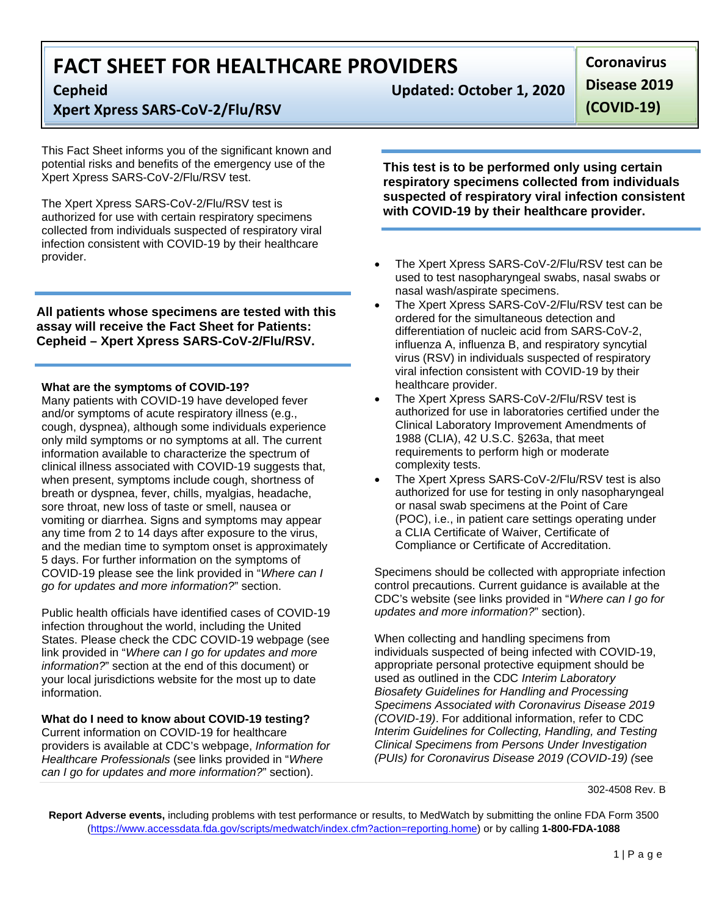# **Xpert Xpress SARS‐CoV‐2/Flu/RSV**

This Fact Sheet informs you of the significant known and potential risks and benefits of the emergency use of the Xpert Xpress SARS-CoV-2/Flu/RSV test.

The Xpert Xpress SARS-CoV-2/Flu/RSV test is authorized for use with certain respiratory specimens collected from individuals suspected of respiratory viral infection consistent with COVID-19 by their healthcare provider.

**All patients whose specimens are tested with this assay will receive the Fact Sheet for Patients: Cepheid – Xpert Xpress SARS-CoV-2/Flu/RSV.** 

### **What are the symptoms of COVID-19?**

Many patients with COVID-19 have developed fever and/or symptoms of acute respiratory illness (e.g., cough, dyspnea), although some individuals experience only mild symptoms or no symptoms at all. The current information available to characterize the spectrum of clinical illness associated with COVID-19 suggests that, when present, symptoms include cough, shortness of breath or dyspnea, fever, chills, myalgias, headache, sore throat, new loss of taste or smell, nausea or vomiting or diarrhea. Signs and symptoms may appear any time from 2 to 14 days after exposure to the virus, and the median time to symptom onset is approximately 5 days. For further information on the symptoms of COVID-19 please see the link provided in "*Where can I go for updates and more information?*" section.

Public health officials have identified cases of COVID-19 infection throughout the world, including the United States. Please check the CDC COVID-19 webpage (see link provided in "*Where can I go for updates and more information?*" section at the end of this document) or your local jurisdictions website for the most up to date information.

### **What do I need to know about COVID-19 testing?**

Current information on COVID-19 for healthcare providers is available at CDC's webpage, *Information for Healthcare Professionals* (see links provided in "*Where can I go for updates and more information?*" section).

**Cepheid Updated: October 1, 2020**

**Disease 2019**

**Coronavirus**

**(COVID‐19)**

**This test is to be performed only using certain respiratory specimens collected from individuals suspected of respiratory viral infection consistent with COVID-19 by their healthcare provider.** 

- The Xpert Xpress SARS-CoV-2/Flu/RSV test can be used to test nasopharyngeal swabs, nasal swabs or nasal wash/aspirate specimens.
- The Xpert Xpress SARS-CoV-2/Flu/RSV test can be ordered for the simultaneous detection and differentiation of nucleic acid from SARS-CoV-2, influenza A, influenza B, and respiratory syncytial virus (RSV) in individuals suspected of respiratory viral infection consistent with COVID-19 by their healthcare provider.
- The Xpert Xpress SARS-CoV-2/Flu/RSV test is authorized for use in laboratories certified under the Clinical Laboratory Improvement Amendments of 1988 (CLIA), 42 U.S.C. §263a, that meet requirements to perform high or moderate complexity tests.
- The Xpert Xpress SARS-CoV-2/Flu/RSV test is also authorized for use for testing in only nasopharyngeal or nasal swab specimens at the Point of Care (POC), i.e., in patient care settings operating under a CLIA Certificate of Waiver, Certificate of Compliance or Certificate of Accreditation.

Specimens should be collected with appropriate infection control precautions. Current guidance is available at the CDC's website (see links provided in "*Where can I go for updates and more information?*" section).

When collecting and handling specimens from individuals suspected of being infected with COVID-19, appropriate personal protective equipment should be used as outlined in the CDC *Interim Laboratory Biosafety Guidelines for Handling and Processing Specimens Associated with Coronavirus Disease 2019 (COVID-19)*. For additional information, refer to CDC *Interim Guidelines for Collecting, Handling, and Testing Clinical Specimens from Persons Under Investigation (PUIs) for Coronavirus Disease 2019 (COVID-19) (*see

**Report Adverse events,** including problems with test performance or results, to MedWatch by submitting the online FDA Form 3500 (https://www.accessdata.fda.gov/scripts/medwatch/index.cfm?action=reporting.home) or by calling **1-800-FDA-1088**

 $1 | P a g e$ 

<sup>302-4508</sup> Rev. B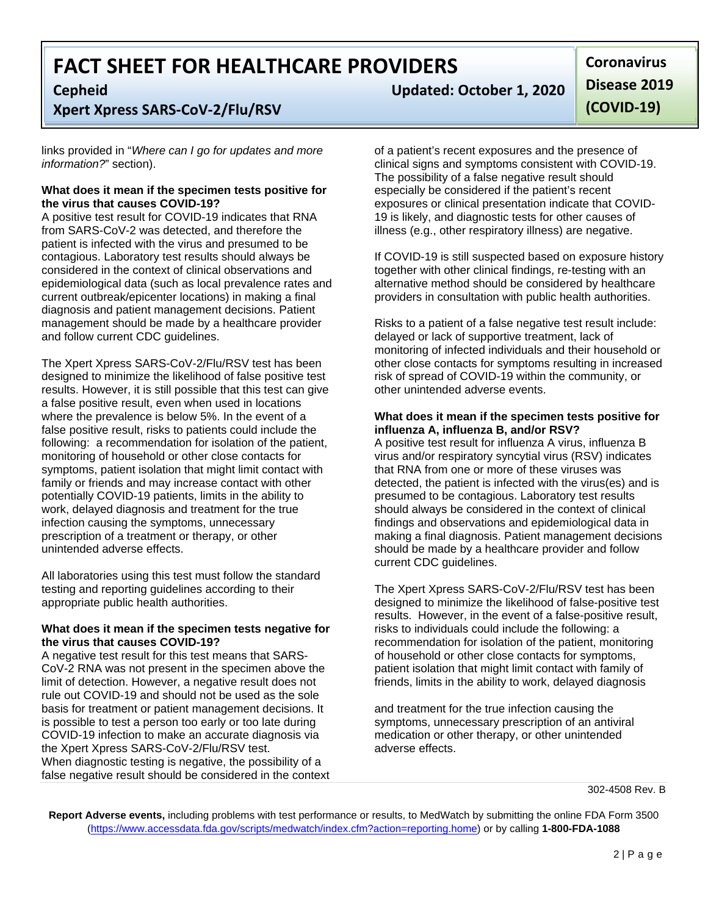## **Xpert Xpress SARS‐CoV‐2/Flu/RSV**

links provided in "*Where can I go for updates and more information?*" section).

### **What does it mean if the specimen tests positive for the virus that causes COVID-19?**

A positive test result for COVID-19 indicates that RNA from SARS-CoV-2 was detected, and therefore the patient is infected with the virus and presumed to be contagious. Laboratory test results should always be considered in the context of clinical observations and epidemiological data (such as local prevalence rates and current outbreak/epicenter locations) in making a final diagnosis and patient management decisions. Patient management should be made by a healthcare provider and follow current CDC guidelines.

The Xpert Xpress SARS-CoV-2/Flu/RSV test has been designed to minimize the likelihood of false positive test results. However, it is still possible that this test can give a false positive result, even when used in locations where the prevalence is below 5%. In the event of a false positive result, risks to patients could include the following: a recommendation for isolation of the patient, monitoring of household or other close contacts for symptoms, patient isolation that might limit contact with family or friends and may increase contact with other potentially COVID-19 patients, limits in the ability to work, delayed diagnosis and treatment for the true infection causing the symptoms, unnecessary prescription of a treatment or therapy, or other unintended adverse effects.

All laboratories using this test must follow the standard testing and reporting guidelines according to their appropriate public health authorities.

### **What does it mean if the specimen tests negative for the virus that causes COVID-19?**

A negative test result for this test means that SARS-CoV-2 RNA was not present in the specimen above the limit of detection. However, a negative result does not rule out COVID-19 and should not be used as the sole basis for treatment or patient management decisions. It is possible to test a person too early or too late during COVID-19 infection to make an accurate diagnosis via the Xpert Xpress SARS-CoV-2/Flu/RSV test. When diagnostic testing is negative, the possibility of a false negative result should be considered in the context

**Cepheid Updated: October 1, 2020**

**Coronavirus Disease 2019 (COVID‐19)**

of a patient's recent exposures and the presence of clinical signs and symptoms consistent with COVID-19. The possibility of a false negative result should especially be considered if the patient's recent exposures or clinical presentation indicate that COVID-19 is likely, and diagnostic tests for other causes of illness (e.g., other respiratory illness) are negative.

If COVID-19 is still suspected based on exposure history together with other clinical findings, re-testing with an alternative method should be considered by healthcare providers in consultation with public health authorities.

Risks to a patient of a false negative test result include: delayed or lack of supportive treatment, lack of monitoring of infected individuals and their household or other close contacts for symptoms resulting in increased risk of spread of COVID-19 within the community, or other unintended adverse events.

### **What does it mean if the specimen tests positive for influenza A, influenza B, and/or RSV?**

A positive test result for influenza A virus, influenza B virus and/or respiratory syncytial virus (RSV) indicates that RNA from one or more of these viruses was detected, the patient is infected with the virus(es) and is presumed to be contagious. Laboratory test results should always be considered in the context of clinical findings and observations and epidemiological data in making a final diagnosis. Patient management decisions should be made by a healthcare provider and follow current CDC guidelines.

The Xpert Xpress SARS-CoV-2/Flu/RSV test has been designed to minimize the likelihood of false-positive test results. However, in the event of a false-positive result, risks to individuals could include the following: a recommendation for isolation of the patient, monitoring of household or other close contacts for symptoms, patient isolation that might limit contact with family of friends, limits in the ability to work, delayed diagnosis

and treatment for the true infection causing the symptoms, unnecessary prescription of an antiviral medication or other therapy, or other unintended adverse effects.

302-4508 Rev. B

**Report Adverse events,** including problems with test performance or results, to MedWatch by submitting the online FDA Form 3500 (https://www.accessdata.fda.gov/scripts/medwatch/index.cfm?action=reporting.home) or by calling **1-800-FDA-1088**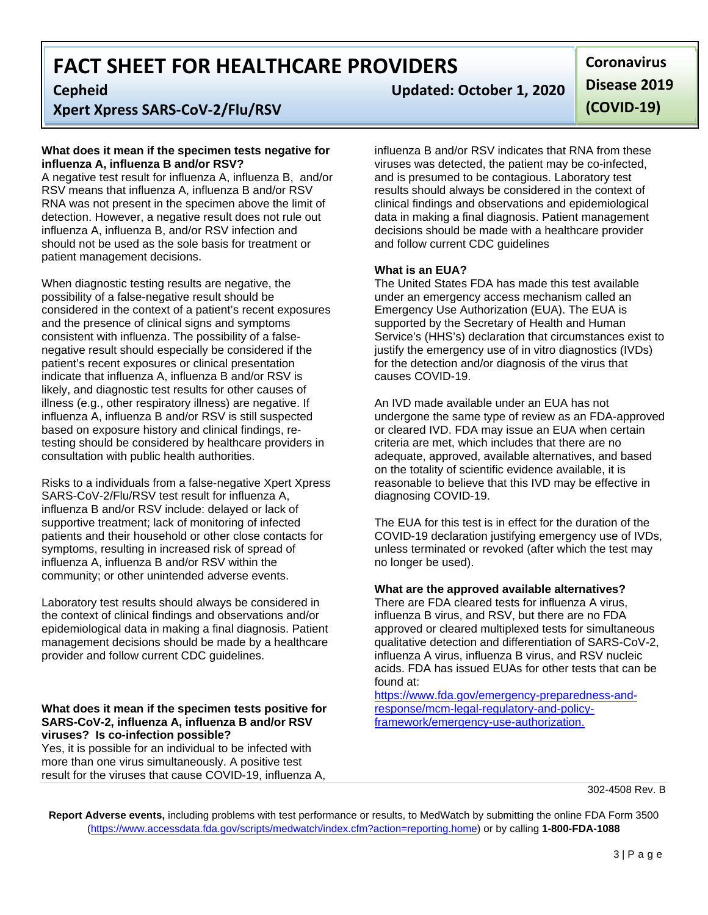**Xpert Xpress SARS‐CoV‐2/Flu/RSV**

### **What does it mean if the specimen tests negative for influenza A, influenza B and/or RSV?**

A negative test result for influenza A, influenza B, and/or RSV means that influenza A, influenza B and/or RSV RNA was not present in the specimen above the limit of detection. However, a negative result does not rule out influenza A, influenza B, and/or RSV infection and should not be used as the sole basis for treatment or patient management decisions.

When diagnostic testing results are negative, the possibility of a false-negative result should be considered in the context of a patient's recent exposures and the presence of clinical signs and symptoms consistent with influenza. The possibility of a falsenegative result should especially be considered if the patient's recent exposures or clinical presentation indicate that influenza A, influenza B and/or RSV is likely, and diagnostic test results for other causes of illness (e.g., other respiratory illness) are negative. If influenza A, influenza B and/or RSV is still suspected based on exposure history and clinical findings, retesting should be considered by healthcare providers in consultation with public health authorities.

Risks to a individuals from a false-negative Xpert Xpress SARS-CoV-2/Flu/RSV test result for influenza A, influenza B and/or RSV include: delayed or lack of supportive treatment; lack of monitoring of infected patients and their household or other close contacts for symptoms, resulting in increased risk of spread of influenza A, influenza B and/or RSV within the community; or other unintended adverse events.

Laboratory test results should always be considered in the context of clinical findings and observations and/or epidemiological data in making a final diagnosis. Patient management decisions should be made by a healthcare provider and follow current CDC guidelines.

### **What does it mean if the specimen tests positive for SARS-CoV-2, influenza A, influenza B and/or RSV viruses? Is co-infection possible?**

Yes, it is possible for an individual to be infected with more than one virus simultaneously. A positive test result for the viruses that cause COVID-19, influenza A,

**Cepheid Updated: October 1, 2020**

**Coronavirus Disease 2019 (COVID‐19)**

influenza B and/or RSV indicates that RNA from these viruses was detected, the patient may be co-infected, and is presumed to be contagious. Laboratory test results should always be considered in the context of clinical findings and observations and epidemiological data in making a final diagnosis. Patient management decisions should be made with a healthcare provider and follow current CDC guidelines

### **What is an EUA?**

The United States FDA has made this test available under an emergency access mechanism called an Emergency Use Authorization (EUA). The EUA is supported by the Secretary of Health and Human Service's (HHS's) declaration that circumstances exist to justify the emergency use of in vitro diagnostics (IVDs) for the detection and/or diagnosis of the virus that causes COVID-19.

An IVD made available under an EUA has not undergone the same type of review as an FDA-approved or cleared IVD. FDA may issue an EUA when certain criteria are met, which includes that there are no adequate, approved, available alternatives, and based on the totality of scientific evidence available, it is reasonable to believe that this IVD may be effective in diagnosing COVID-19.

The EUA for this test is in effect for the duration of the COVID-19 declaration justifying emergency use of IVDs, unless terminated or revoked (after which the test may no longer be used).

### **What are the approved available alternatives?**

There are FDA cleared tests for influenza A virus, influenza B virus, and RSV, but there are no FDA approved or cleared multiplexed tests for simultaneous qualitative detection and differentiation of SARS-CoV-2, influenza A virus, influenza B virus, and RSV nucleic acids. FDA has issued EUAs for other tests that can be found at:

https://www.fda.gov/emergency-preparedness-andresponse/mcm-legal-regulatory-and-policyframework/emergency-use-authorization.

302-4508 Rev. B

**Report Adverse events,** including problems with test performance or results, to MedWatch by submitting the online FDA Form 3500 (https://www.accessdata.fda.gov/scripts/medwatch/index.cfm?action=reporting.home) or by calling **1-800-FDA-1088**